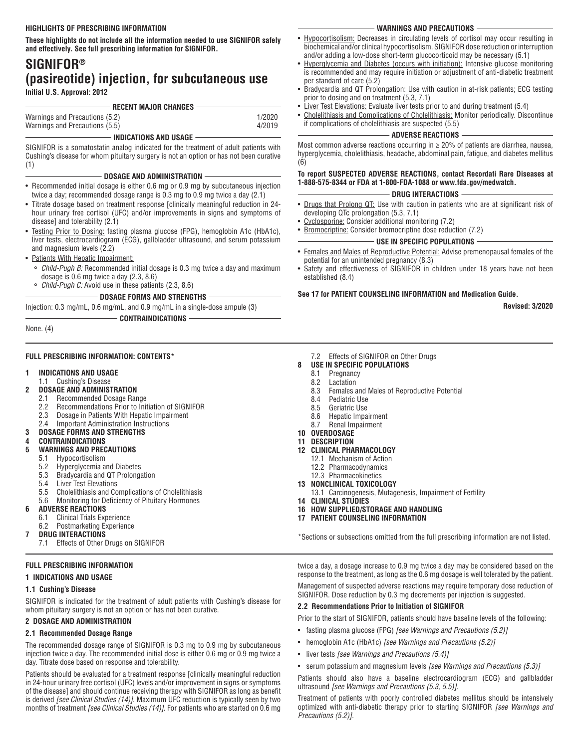**These highlights do not include all the information needed to use SIGNIFOR safely and effectively. See full prescribing information for SIGNIFOR.** 

# **SIGNIFOR® (pasireotide) injection, for subcutaneous use Initial U.S. Approval: 2012**

**RECENT MAJOR CHANGES**

| Warnings and Precautions (5.2) | 1/2020 |  |
|--------------------------------|--------|--|
| Warnings and Precautions (5.5) | 4/2019 |  |
| INDICATIONS AND USAGE          |        |  |

SIGNIFOR is a somatostatin analog indicated for the treatment of adult patients with Cushing's disease for whom pituitary surgery is not an option or has not been curative (1)

#### **DOSAGE AND ADMINISTRATION**

- Recommended initial dosage is either 0.6 mg or 0.9 mg by subcutaneous injection twice a day; recommended dosage range is 0.3 mg to 0.9 mg twice a day (2.1)
- Titrate dosage based on treatment response [clinically meaningful reduction in 24 hour urinary free cortisol (UFC) and/or improvements in signs and symptoms of disease] and tolerability (2.1)
- Testing Prior to Dosing: fasting plasma glucose (FPG), hemoglobin A1c (HbA1c), liver tests, electrocardiogram (ECG), gallbladder ultrasound, and serum potassium and magnesium levels (2.2)
- Patients With Hepatic Impairment:
	- Child-Pugh B: Recommended initial dosage is 0.3 mg twice a day and maximum dosage is 0.6 mg twice a day (2.3, 8.6)
	- ° *Child-Pugh C:* Avoid use in these patients (2.3, 8.6)
		- **DOSAGE FORMS AND STRENGTHS**

Injection: 0.3 mg/mL, 0.6 mg/mL, and 0.9 mg/mL in a single-dose ampule (3)

#### **CONTRAINDICATIONS**

None. (4)

#### **FULL PRESCRIBING INFORMATION: CONTENTS\***

## **1 INDICATIONS AND USAGE**

- 1.1 Cushing's Disease
- **2 DOSAGE AND ADMINISTRATION** 
	- 2.1 Recommended Dosage Range
		- 2.2 Recommendations Prior to Initiation of SIGNIFOR
		- 2.3 Dosage in Patients With Hepatic Impairment
		- 2.4 Important Administration Instructions
- **3 DOSAGE FORMS AND STRENGTHS**
- **4 CONTRAINDICATIONS**

# **5 WARNINGS AND PRECAUTIONS**

- 5.1 Hypocortisolism
	- 5.2 Hyperglycemia and Diabetes
	- 5.3 Bradycardia and QT Prolongation
	- 5.4 Liver Test Elevations
	- 5.5 Cholelithiasis and Complications of Cholelithiasis
	- 5.6 Monitoring for Deficiency of Pituitary Hormones

#### **6 ADVERSE REACTIONS**

- 6.1 Clinical Trials Experience
- 6.2 Postmarketing Experience
- **7 DRUG INTERACTIONS**
	- 7.1 Effects of Other Drugs on SIGNIFOR

# **FULL PRESCRIBING INFORMATION**

**1 INDICATIONS AND USAGE** 

# **1.1 Cushing's Disease**

SIGNIFOR is indicated for the treatment of adult patients with Cushing's disease for whom pituitary surgery is not an option or has not been curative.

# **2 DOSAGE AND ADMINISTRATION**

# **2.1 Recommended Dosage Range**

The recommended dosage range of SIGNIFOR is 0.3 mg to 0.9 mg by subcutaneous injection twice a day. The recommended initial dose is either 0.6 mg or 0.9 mg twice a day. Titrate dose based on response and tolerability.

Patients should be evaluated for a treatment response [clinically meaningful reduction in 24-hour urinary free cortisol (UFC) levels and/or improvement in signs or symptoms of the disease] and should continue receiving therapy with SIGNIFOR as long as benefit is derived *[see Clinical Studies (14)]*. Maximum UFC reduction is typically seen by two months of treatment *[see Clinical Studies (14)]*. For patients who are started on 0.6 mg

#### **WARNINGS AND PRECAUTIONS**

- Hypocortisolism: Decreases in circulating levels of cortisol may occur resulting in biochemical and/or clinical hypocortisolism. SIGNIFOR dose reduction or interruption and/or adding a low-dose short-term glucocorticoid may be necessary (5.1)
- Hyperglycemia and Diabetes (occurs with initiation): Intensive glucose monitoring is recommended and may require initiation or adjustment of anti-diabetic treatment per standard of care (5.2)
- Bradycardia and QT Prolongation: Use with caution in at-risk patients; ECG testing prior to dosing and on treatment (5.3, 7.1)
- **Liver Test Elevations:** Evaluate liver tests prior to and during treatment (5.4)
- Cholelithiasis and Complications of Cholelithiasis: Monitor periodically. Discontinue if complications of cholelithiasis are suspected (5.5)

#### **ADVERSE REACTIONS**

Most common adverse reactions occurring in ≥ 20% of patients are diarrhea, nausea, hyperglycemia, cholelithiasis, headache, abdominal pain, fatigue, and diabetes mellitus (6)

## **To report SUSPECTED ADVERSE REACTIONS, contact Recordati Rare Diseases at 1-888-575-8344 or FDA at 1-800-FDA-1088 or www.fda.gov/medwatch.**

## **DRUG INTERACTIONS**

- Drugs that Prolong QT: Use with caution in patients who are at significant risk of developing QTc prolongation (5.3, 7.1)
- Cyclosporine: Consider additional monitoring (7.2)
- **Bromocriptine:** Consider bromocriptine dose reduction (7.2)

## **USE IN SPECIFIC POPULATIONS**

- Females and Males of Reproductive Potential: Advise premenopausal females of the potential for an unintended pregnancy (8.3)
- Safety and effectiveness of SIGNIFOR in children under 18 years have not been established (8.4)

# **See 17 for PATIENT COUNSELING INFORMATION and Medication Guide.**

**Revised: 3/2020**

- 7.2 Effects of SIGNIFOR on Other Drugs
- **8 USE IN SPECIFIC POPULATIONS** 
	- 8.1 Pregnancy
	- 8.2 Lactation
	- 8.3 Females and Males of Reproductive Potential
	- Pediatric Use
	- 8.5 Geriatric Use
	- 8.6 Hepatic Impairment 8.7 Renal Impairment
- **10 OVERDOSAGE**
- **11 DESCRIPTION**
- **12 CLINICAL PHARMACOLOGY**
- 12.1 Mechanism of Action
	- 12.2 Pharmacodynamics
	- 12.3 Pharmacokinetics
- **13 NONCLINICAL TOXICOLOGY** 
	- 13.1 Carcinogenesis, Mutagenesis, Impairment of Fertility
- **14 CLINICAL STUDIES**
- **16 HOW SUPPLIED/STORAGE AND HANDLING**
- **17 PATIENT COUNSELING INFORMATION**

\*Sections or subsections omitted from the full prescribing information are not listed.

twice a day, a dosage increase to 0.9 mg twice a day may be considered based on the response to the treatment, as long as the 0.6 mg dosage is well tolerated by the patient. Management of suspected adverse reactions may require temporary dose reduction of SIGNIFOR. Dose reduction by 0.3 mg decrements per injection is suggested.

# **2.2 Recommendations Prior to Initiation of SIGNIFOR**

Prior to the start of SIGNIFOR, patients should have baseline levels of the following:

- fasting plasma glucose (FPG) *[see Warnings and Precautions (5.2)]*
- hemoglobin A1c (HbA1c) *[see Warnings and Precautions (5.2)]*
- liver tests *[see Warnings and Precautions (5.4)]*
- serum potassium and magnesium levels *[see Warnings and Precautions (5.3)]*

Patients should also have a baseline electrocardiogram (ECG) and gallbladder ultrasound *[see Warnings and Precautions (5.3, 5.5)].*

Treatment of patients with poorly controlled diabetes mellitus should be intensively optimized with anti-diabetic therapy prior to starting SIGNIFOR *[see Warnings and Precautions (5.2)].*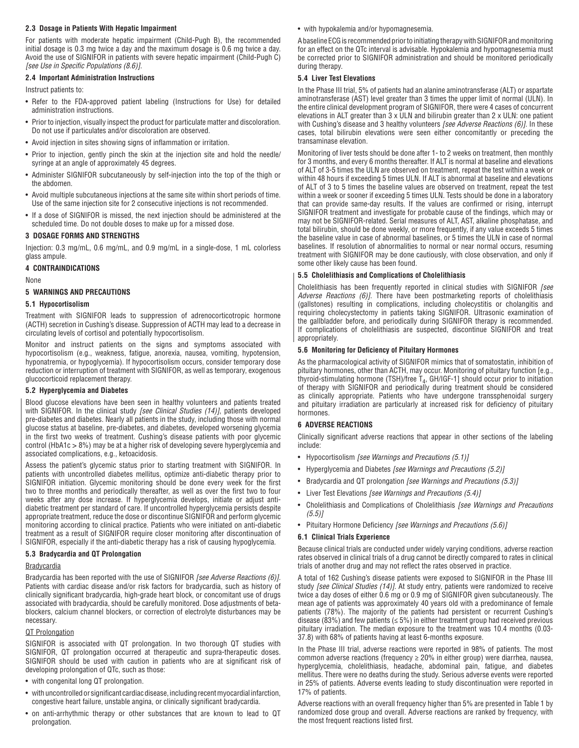#### **2.3 Dosage in Patients With Hepatic Impairment**

For patients with moderate hepatic impairment (Child-Pugh B), the recommended initial dosage is 0.3 mg twice a day and the maximum dosage is 0.6 mg twice a day. Avoid the use of SIGNIFOR in patients with severe hepatic impairment (Child-Pugh C) *[see Use in Specific Populations (8.6)].*

### **2.4 Important Administration Instructions**

Instruct patients to:

- Refer to the FDA-approved patient labeling (Instructions for Use) for detailed administration instructions.
- Prior to injection, visually inspect the product for particulate matter and discoloration. Do not use if particulates and/or discoloration are observed.
- Avoid injection in sites showing signs of inflammation or irritation.
- Prior to injection, gently pinch the skin at the injection site and hold the needle/ syringe at an angle of approximately 45 degrees.
- Administer SIGNIFOR subcutaneously by self-injection into the top of the thigh or the abdomen.
- Avoid multiple subcutaneous injections at the same site within short periods of time. Use of the same injection site for 2 consecutive injections is not recommended.
- If a dose of SIGNIFOR is missed, the next injection should be administered at the scheduled time. Do not double doses to make up for a missed dose.

#### **3 DOSAGE FORMS AND STRENGTHS**

Injection: 0.3 mg/mL, 0.6 mg/mL, and 0.9 mg/mL in a single-dose, 1 mL colorless glass ampule.

#### **4 CONTRAINDICATIONS**

None

## **5 WARNINGS AND PRECAUTIONS**

### **5.1 Hypocortisolism**

Treatment with SIGNIFOR leads to suppression of adrenocorticotropic hormone (ACTH) secretion in Cushing's disease. Suppression of ACTH may lead to a decrease in circulating levels of cortisol and potentially hypocortisolism.

Monitor and instruct patients on the signs and symptoms associated with hypocortisolism (e.g., weakness, fatigue, anorexia, nausea, vomiting, hypotension, hyponatremia, or hypoglycemia). If hypocortisolism occurs, consider temporary dose reduction or interruption of treatment with SIGNIFOR, as well as temporary, exogenous glucocorticoid replacement therapy.

#### **5.2 Hyperglycemia and Diabetes**

Blood glucose elevations have been seen in healthy volunteers and patients treated with SIGNIFOR. In the clinical study *[see Clinical Studies (14)]*, patients developed pre-diabetes and diabetes. Nearly all patients in the study, including those with normal glucose status at baseline, pre-diabetes, and diabetes, developed worsening glycemia in the first two weeks of treatment. Cushing's disease patients with poor glycemic control (HbA1c > 8%) may be at a higher risk of developing severe hyperglycemia and associated complications, e.g., ketoacidosis.

Assess the patient's glycemic status prior to starting treatment with SIGNIFOR. In patients with uncontrolled diabetes mellitus, optimize anti-diabetic therapy prior to SIGNIFOR initiation. Glycemic monitoring should be done every week for the first two to three months and periodically thereafter, as well as over the first two to four weeks after any dose increase. If hyperglycemia develops, initiate or adjust antidiabetic treatment per standard of care. If uncontrolled hyperglycemia persists despite appropriate treatment, reduce the dose or discontinue SIGNIFOR and perform glycemic monitoring according to clinical practice. Patients who were initiated on anti-diabetic treatment as a result of SIGNIFOR require closer monitoring after discontinuation of SIGNIFOR, especially if the anti-diabetic therapy has a risk of causing hypoglycemia.

#### **5.3 Bradycardia and QT Prolongation**

#### **Bradycardia**

Bradycardia has been reported with the use of SIGNIFOR *[see Adverse Reactions (6)].*  Patients with cardiac disease and/or risk factors for bradycardia, such as history of clinically significant bradycardia, high-grade heart block, or concomitant use of drugs associated with bradycardia, should be carefully monitored. Dose adjustments of betablockers, calcium channel blockers, or correction of electrolyte disturbances may be necessary.

#### QT Prolongation

SIGNIFOR is associated with QT prolongation. In two thorough QT studies with SIGNIFOR, QT prolongation occurred at therapeutic and supra-therapeutic doses. SIGNIFOR should be used with caution in patients who are at significant risk of developing prolongation of QTc, such as those:

- with congenital long QT prolongation.
- with uncontrolled or significant cardiac disease, including recent myocardial infarction, congestive heart failure, unstable angina, or clinically significant bradycardia.
- on anti-arrhythmic therapy or other substances that are known to lead to QT prolongation.

#### • with hypokalemia and/or hypomagnesemia.

A baseline ECG is recommended prior to initiating therapy with SIGNIFOR and monitoring for an effect on the QTc interval is advisable. Hypokalemia and hypomagnesemia must be corrected prior to SIGNIFOR administration and should be monitored periodically during therapy.

### **5.4 Liver Test Elevations**

In the Phase III trial, 5% of patients had an alanine aminotransferase (ALT) or aspartate aminotransferase (AST) level greater than 3 times the upper limit of normal (ULN). In the entire clinical development program of SIGNIFOR, there were 4 cases of concurrent elevations in ALT greater than 3 x ULN and bilirubin greater than 2 x ULN: one patient with Cushing's disease and 3 healthy volunteers *[see Adverse Reactions (6)].* In these cases, total bilirubin elevations were seen either concomitantly or preceding the transaminase elevation.

Monitoring of liver tests should be done after 1- to 2 weeks on treatment, then monthly for 3 months, and every 6 months thereafter. If ALT is normal at baseline and elevations of ALT of 3-5 times the ULN are observed on treatment, repeat the test within a week or within 48 hours if exceeding 5 times ULN. If ALT is abnormal at baseline and elevations of ALT of 3 to 5 times the baseline values are observed on treatment, repeat the test within a week or sooner if exceeding 5 times ULN. Tests should be done in a laboratory that can provide same-day results. If the values are confirmed or rising, interrupt SIGNIFOR treatment and investigate for probable cause of the findings, which may or may not be SIGNIFOR-related. Serial measures of ALT, AST, alkaline phosphatase, and total bilirubin, should be done weekly, or more frequently, if any value exceeds 5 times the baseline value in case of abnormal baselines, or 5 times the ULN in case of normal baselines. If resolution of abnormalities to normal or near normal occurs, resuming treatment with SIGNIFOR may be done cautiously, with close observation, and only if some other likely cause has been found.

## **5.5 Cholelithiasis and Complications of Cholelithiasis**

Cholelithiasis has been frequently reported in clinical studies with SIGNIFOR *[see Adverse Reactions (6)].* There have been postmarketing reports of cholelithiasis (gallstones) resulting in complications, including cholecystitis or cholangitis and requiring cholecystectomy in patients taking SIGNIFOR. Ultrasonic examination of the gallbladder before, and periodically during SIGNIFOR therapy is recommended. If complications of cholelithiasis are suspected, discontinue SIGNIFOR and treat appropriately.

#### **5.6 Monitoring for Deficiency of Pituitary Hormones**

As the pharmacological activity of SIGNIFOR mimics that of somatostatin, inhibition of pituitary hormones, other than ACTH, may occur. Monitoring of pituitary function [e.g., thyroid-stimulating hormone (TSH)/free  $T_4$ , GH/IGF-1] should occur prior to initiation of therapy with SIGNIFOR and periodically during treatment should be considered as clinically appropriate. Patients who have undergone transsphenoidal surgery and pituitary irradiation are particularly at increased risk for deficiency of pituitary hormones.

### **6 ADVERSE REACTIONS**

Clinically significant adverse reactions that appear in other sections of the labeling include:

- Hypocortisolism *[see Warnings and Precautions (5.1)]*
- Hyperglycemia and Diabetes *[see Warnings and Precautions (5.2)]*
- Bradycardia and QT prolongation *[see Warnings and Precautions (5.3)]*
- Liver Test Elevations *[see Warnings and Precautions (5.4)]*
- Cholelithiasis and Complications of Cholelithiasis *[see Warnings and Precautions (5.5)]*
- Pituitary Hormone Deficiency *[see Warnings and Precautions (5.6)]*

#### **6.1 Clinical Trials Experience**

Because clinical trials are conducted under widely varying conditions, adverse reaction rates observed in clinical trials of a drug cannot be directly compared to rates in clinical trials of another drug and may not reflect the rates observed in practice.

A total of 162 Cushing's disease patients were exposed to SIGNIFOR in the Phase III study *[see Clinical Studies (14)].* At study entry, patients were randomized to receive twice a day doses of either 0.6 mg or 0.9 mg of SIGNIFOR given subcutaneously. The mean age of patients was approximately 40 years old with a predominance of female patients (78%). The majority of the patients had persistent or recurrent Cushing's disease (83%) and few patients ( $\leq$  5%) in either treatment group had received previous pituitary irradiation. The median exposure to the treatment was 10.4 months (0.03- 37.8) with 68% of patients having at least 6-months exposure.

In the Phase III trial, adverse reactions were reported in 98% of patients. The most common adverse reactions (frequency  $\geq$  20% in either group) were diarrhea, nausea, hyperglycemia, cholelithiasis, headache, abdominal pain, fatigue, and diabetes mellitus. There were no deaths during the study. Serious adverse events were reported in 25% of patients. Adverse events leading to study discontinuation were reported in 17% of patients.

Adverse reactions with an overall frequency higher than 5% are presented in Table 1 by randomized dose group and overall. Adverse reactions are ranked by frequency, with the most frequent reactions listed first.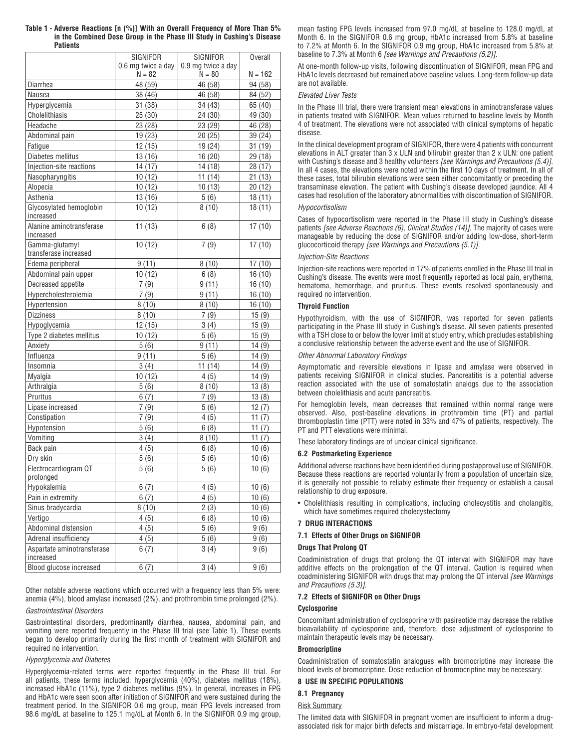|                                         | SIGNIFOR           | SIGNIFOR           | <b>Overall</b> |
|-----------------------------------------|--------------------|--------------------|----------------|
|                                         | 0.6 mg twice a day | 0.9 mg twice a day |                |
|                                         | $N = 82$           | $N = 80$           | N = 162        |
| Diarrhea                                | 48 (59)            | 46 (58)            | 94 (58)        |
| Nausea                                  | 38 (46)            | 46 (58)            | 84 (52)        |
| Hyperglycemia                           | 31 (38)            | 34 (43)            | 65 (40)        |
| Cholelithiasis                          | 25 (30)            | 24 (30)            | 49 (30)        |
| Headache                                | 23 (28)            | 23 (29)            | 46 (28)        |
| Abdominal pain                          | 19(23)             | 20(25)             | 39 (24)        |
| Fatigue                                 | 12 (15)            | 19 (24)            | 31 (19)        |
| Diabetes mellitus                       | 13 (16)            | 16(20)             | 29 (18)        |
| Injection-site reactions                | 14 (17)            | 14 (18)            | 28 (17)        |
| Nasopharyngitis                         | 10(12)             | 11(14)             | 21 (13)        |
| Alopecia                                | 10(12)             | 10(13)             | 20 (12)        |
| Asthenia                                | 13(16)             | 5(6)               | 18(11)         |
| Glycosylated hemoglobin<br>increased    | 10(12)             | 8(10)              | 18(11)         |
| Alanine aminotransferase<br>increased   | 11(13)             | 6(8)               | 17(10)         |
| Gamma-glutamyl<br>transferase increased | 10(12)             | 7(9)               | 17(10)         |
| Edema peripheral                        | 9(11)              | 8(10)              | 17(10)         |
| Abdominal pain upper                    | 10(12)             | 6(8)               | 16 (10)        |
| Decreased appetite                      | 7(9)               | 9(11)              | 16(10)         |
| Hypercholesterolemia                    | 7(9)               | 9(11)              | 16(10)         |
| Hypertension                            | 8(10)              | 8(10)              | 16(10)         |
| <b>Dizziness</b>                        | 8(10)              | 7(9)               | 15(9)          |
| Hypoglycemia                            | 12 (15)            | 3(4)               | 15(9)          |
| Type 2 diabetes mellitus                | 10(12)             | 5(6)               | 15(9)          |
| Anxiety                                 | 5(6)               | 9(11)              | 14(9)          |
| Influenza                               | 9 (11)             | 5(6)               | 14(9)          |
| Insomnia                                | 3(4)               | 11(14)             | 14(9)          |
| Myalgia                                 | 10 (12)            | 4(5)               | 14(9)          |
| Arthralgia                              | 5(6)               | 8(10)              | 13(8)          |
| Pruritus                                | 6(7)               | 7(9)               | 13(8)          |
| Lipase increased                        | 7(9)               | 5(6)               | 12(7)          |
| Constipation                            | 7 (9)              | 4(5)               | 11 $(7)$       |
| Hypotension                             | 5(6)               | 6(8)               | 11 $(7)$       |
| Vomiting                                | 3(4)               | 8(10)              | 11(7)          |
| Back pain                               | 4(5)               | 6(8)               | 10(6)          |
| Dry skin                                | 5(6)               | 5(6)               | 10(6)          |
| Electrocardiogram QT                    | 5(6)               | 5(6)               | 10(6)          |
| prolonged                               |                    |                    |                |
| Hypokalemia                             | 6(7)               | 4(5)               | 10(6)          |
| Pain in extremity                       | 6(7)               | 4(5)               | 10(6)          |
| Sinus bradycardia                       | 8(10)              | 2(3)               | 10(6)          |
| Vertigo                                 | 4(5)               | 6(8)               | 10(6)          |
| Abdominal distension                    | 4(5)               | 5(6)               | 9(6)           |
| Adrenal insufficiency                   | 4(5)               | 5(6)               | 9(6)           |
| Aspartate aminotransferase<br>increased | 6(7)               | 3(4)               | 9(6)           |
| Blood glucose increased                 | 6(7)               | 3(4)               | 9(6)           |

**Table 1 - Adverse Reactions [n (%)] With an Overall Frequency of More Than 5% in the Combined Dose Group in the Phase III Study in Cushing's Disease Patients** 

Other notable adverse reactions which occurred with a frequency less than 5% were: anemia (4%), blood amylase increased (2%), and prothrombin time prolonged (2%).

# *Gastrointestinal Disorders*

Gastrointestinal disorders, predominantly diarrhea, nausea, abdominal pain, and vomiting were reported frequently in the Phase III trial (see Table 1). These events began to develop primarily during the first month of treatment with SIGNIFOR and required no intervention.

# *Hyperglycemia and Diabetes*

Hyperglycemia-related terms were reported frequently in the Phase III trial. For all patients, these terms included: hyperglycemia (40%), diabetes mellitus (18%), increased HbA1c (11%), type 2 diabetes mellitus (9%). In general, increases in FPG and HbA1c were seen soon after initiation of SIGNIFOR and were sustained during the treatment period. In the SIGNIFOR 0.6 mg group, mean FPG levels increased from 98.6 mg/dL at baseline to 125.1 mg/dL at Month 6. In the SIGNIFOR 0.9 mg group, mean fasting FPG levels increased from 97.0 mg/dL at baseline to 128.0 mg/dL at Month 6. In the SIGNIFOR 0.6 mg group, HbA1c increased from 5.8% at baseline to 7.2% at Month 6. In the SIGNIFOR 0.9 mg group, HbA1c increased from 5.8% at baseline to 7.3% at Month 6 *[see Warnings and Precautions (5.2)].*

At one-month follow-up visits, following discontinuation of SIGNIFOR, mean FPG and HbA1c levels decreased but remained above baseline values. Long-term follow-up data are not available.

## *Elevated Liver Tests*

In the Phase III trial, there were transient mean elevations in aminotransferase values in patients treated with SIGNIFOR. Mean values returned to baseline levels by Month 4 of treatment. The elevations were not associated with clinical symptoms of hepatic disease.

In the clinical development program of SIGNIFOR, there were 4 patients with concurrent elevations in ALT greater than 3 x ULN and bilirubin greater than 2 x ULN: one patient with Cushing's disease and 3 healthy volunteers *[see Warnings and Precautions (5.4)].*  In all 4 cases, the elevations were noted within the first 10 days of treatment. In all of these cases, total bilirubin elevations were seen either concomitantly or preceding the transaminase elevation. The patient with Cushing's disease developed jaundice. All 4 cases had resolution of the laboratory abnormalities with discontinuation of SIGNIFOR.

## *Hypocortisolism*

Cases of hypocortisolism were reported in the Phase III study in Cushing's disease patients *[see Adverse Reactions (6), Clinical Studies (14)]*. The majority of cases were manageable by reducing the dose of SIGNIFOR and/or adding low-dose, short-term glucocorticoid therapy *[see Warnings and Precautions (5.1)].*

# *Injection-Site Reactions*

Injection-site reactions were reported in 17% of patients enrolled in the Phase III trial in Cushing's disease. The events were most frequently reported as local pain, erythema, hematoma, hemorrhage, and pruritus. These events resolved spontaneously and required no intervention.

# **Thyroid Function**

Hypothyroidism, with the use of SIGNIFOR, was reported for seven patients participating in the Phase III study in Cushing's disease. All seven patients presented with a TSH close to or below the lower limit at study entry, which precludes establishing a conclusive relationship between the adverse event and the use of SIGNIFOR.

#### *Other Abnormal Laboratory Findings*

Asymptomatic and reversible elevations in lipase and amylase were observed in patients receiving SIGNIFOR in clinical studies. Pancreatitis is a potential adverse reaction associated with the use of somatostatin analogs due to the association between cholelithiasis and acute pancreatitis.

For hemoglobin levels, mean decreases that remained within normal range were observed. Also, post-baseline elevations in prothrombin time (PT) and partial thromboplastin time (PTT) were noted in 33% and 47% of patients, respectively. The PT and PTT elevations were minimal.

These laboratory findings are of unclear clinical significance.

## **6.2 Postmarketing Experience**

Additional adverse reactions have been identified during postapproval use of SIGNIFOR. Because these reactions are reported voluntarily from a population of uncertain size, it is generally not possible to reliably estimate their frequency or establish a causal relationship to drug exposure.

• Cholelithiasis resulting in complications, including cholecystitis and cholangitis, which have sometimes required cholecystectomy

## **7 DRUG INTERACTIONS**

**7.1 Effects of Other Drugs on SIGNIFOR**

### **Drugs That Prolong QT**

Coadministration of drugs that prolong the QT interval with SIGNIFOR may have additive effects on the prolongation of the QT interval. Caution is required when coadministering SIGNIFOR with drugs that may prolong the QT interval *[see Warnings and Precautions (5.3)].*

### **7.2 Effects of SIGNIFOR on Other Drugs**

## **Cyclosporine**

Concomitant administration of cyclosporine with pasireotide may decrease the relative bioavailability of cyclosporine and, therefore, dose adjustment of cyclosporine to maintain therapeutic levels may be necessary.

### **Bromocriptine**

Coadministration of somatostatin analogues with bromocriptine may increase the blood levels of bromocriptine. Dose reduction of bromocriptine may be necessary.

# **8 USE IN SPECIFIC POPULATIONS**

# **8.1 Pregnancy**

# Risk Summary

The limited data with SIGNIFOR in pregnant women are insufficient to inform a drugassociated risk for major birth defects and miscarriage. In embryo-fetal development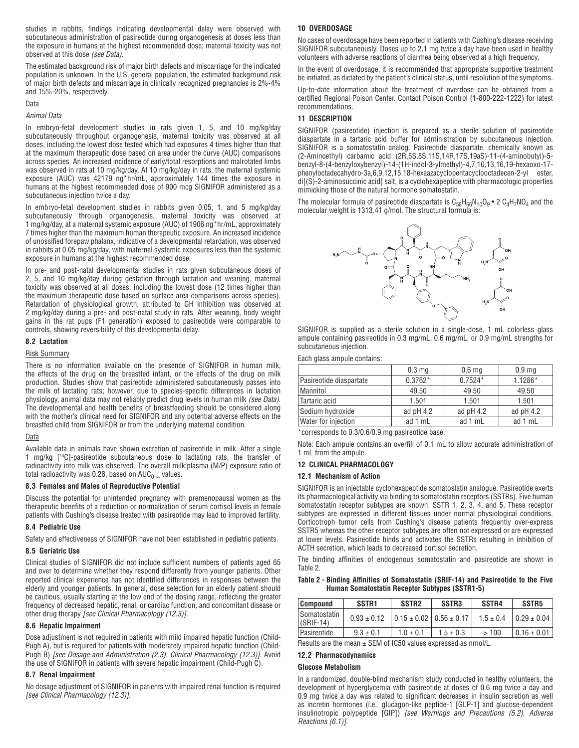studies in rabbits, findings indicating developmental delay were observed with subcutaneous administration of pasireotide during organogenesis at doses less than the exposure in humans at the highest recommended dose; maternal toxicity was not observed at this dose *(see Data).*

The estimated background risk of major birth defects and miscarriage for the indicated population is unknown. In the U.S. general population, the estimated background risk of major birth defects and miscarriage in clinically recognized pregnancies is 2%-4% and 15%-20%, respectively.

#### Data

#### *Animal Data*

In embryo-fetal development studies in rats given 1, 5, and 10 mg/kg/day subcutaneously throughout organogenesis, maternal toxicity was observed at all doses, including the lowest dose tested which had exposures 4 times higher than that at the maximum therapeutic dose based on area under the curve (AUC) comparisons across species. An increased incidence of early/total resorptions and malrotated limbs was observed in rats at 10 mg/kg/day. At 10 mg/kg/day in rats, the maternal systemic exposure (AUC) was 42179 ng\*hr/mL, approximately 144 times the exposure in humans at the highest recommended dose of 900 mcg SIGNIFOR administered as a subcutaneous injection twice a day.

In embryo-fetal development studies in rabbits given 0.05, 1, and 5 mg/kg/day subcutaneously through organogenesis, maternal toxicity was observed at 1 mg/kg/day, at a maternal systemic exposure (AUC) of 1906 ng\*hr/mL, approximately 7 times higher than the maximum human therapeutic exposure. An increased incidence of unossified forepaw phalanx, indicative of a developmental retardation, was observed in rabbits at 0.05 mg/kg/day, with maternal systemic exposures less than the systemic exposure in humans at the highest recommended dose.

In pre- and post-natal developmental studies in rats given subcutaneous doses of 2, 5, and 10 mg/kg/day during gestation through lactation and weaning, maternal toxicity was observed at all doses, including the lowest dose (12 times higher than the maximum therapeutic dose based on surface area comparisons across species). Retardation of physiological growth, attributed to GH inhibition was observed at 2 mg/kg/day during a pre- and post-natal study in rats. After weaning, body weight gains in the rat pups (F1 generation) exposed to pasireotide were comparable to controls, showing reversibility of this developmental delay.

### **8.2 Lactation**

#### Risk Summary

There is no information available on the presence of SIGNIFOR in human milk, the effects of the drug on the breastfed infant, or the effects of the drug on milk production. Studies show that pasireotide administered subcutaneously passes into the milk of lactating rats; however, due to species-specific differences in lactation physiology, animal data may not reliably predict drug levels in human milk *(see Data)*. The developmental and health benefits of breastfeeding should be considered along with the mother's clinical need for SIGNIFOR and any potential adverse effects on the breastfed child from SIGNIFOR or from the underlying maternal condition.

### Data

Available data in animals have shown excretion of pasireotide in milk. After a single 1 mg/kg [14C]-pasireotide subcutaneous dose to lactating rats, the transfer of radioactivity into milk was observed. The overall milk:plasma (M/P) exposure ratio of total radioactivity was 0.28, based on  $AUC_{0-\infty}$  values.

#### **8.3 Females and Males of Reproductive Potential**

Discuss the potential for unintended pregnancy with premenopausal women as the therapeutic benefits of a reduction or normalization of serum cortisol levels in female patients with Cushing's disease treated with pasireotide may lead to improved fertility.

#### **8.4 Pediatric Use**

Safety and effectiveness of SIGNIFOR have not been established in pediatric patients.

#### **8.5 Geriatric Use**

Clinical studies of SIGNIFOR did not include sufficient numbers of patients aged 65 and over to determine whether they respond differently from younger patients. Other reported clinical experience has not identified differences in responses between the elderly and younger patients. In general, dose selection for an elderly patient should be cautious, usually starting at the low end of the dosing range, reflecting the greater frequency of decreased hepatic, renal, or cardiac function, and concomitant disease or other drug therapy *[see Clinical Pharmacology (12.3)].* 

#### **8.6 Hepatic Impairment**

Dose adjustment is not required in patients with mild impaired hepatic function (Child-Pugh A), but is required for patients with moderately impaired hepatic function (Child-Pugh B) *[see Dosage and Administration (2.3), Clinical Pharmacology (12.3)]*. Avoid the use of SIGNIFOR in patients with severe hepatic impairment (Child-Pugh C).

#### **8.7 Renal Impairment**

No dosage adjustment of SIGNIFOR in patients with impaired renal function is required *[see Clinical Pharmacology (12.3)].*

#### **10 OVERDOSAGE**

No cases of overdosage have been reported in patients with Cushing's disease receiving SIGNIFOR subcutaneously. Doses up to 2.1 mg twice a day have been used in healthy volunteers with adverse reactions of diarrhea being observed at a high frequency.

In the event of overdosage, it is recommended that appropriate supportive treatment be initiated, as dictated by the patient's clinical status, until resolution of the symptoms.

Up-to-date information about the treatment of overdose can be obtained from a certified Regional Poison Center. Contact Poison Control (1-800-222-1222) for latest recommendations.

#### **11 DESCRIPTION**

SIGNIFOR (pasireotide) injection is prepared as a sterile solution of pasireotide diaspartate in a tartaric acid buffer for administration by subcutaneous injection. SIGNIFOR is a somatostatin analog. Pasireotide diaspartate, chemically known as (2-Aminoethyl) carbamic acid (2R,5S,8S,11S,14R,17S,19aS)-11-(4-aminobutyl)-5 benzyl-8-(4-benzyloxybenzyl)-14-(1H-indol-3-ylmethyl)-4,7,10,13,16,19-hexaoxo-17 phenyloctadecahydro-3a,6,9,12,15,18-hexaazacyclopentacyclooctadecen-2-yl ester, di[(S)-2-aminosuccinic acid] salt, is a cyclohexapeptide with pharmacologic properties mimicking those of the natural hormone somatostatin.

The molecular formula of pasireotide diaspartate is  $C_{58}H_{66}N_{10}O_9$  • 2  $C_4H_7NO_4$  and the molecular weight is 1313.41 g/mol. The structural formula is:



SIGNIFOR is supplied as a sterile solution in a single-dose, 1 mL colorless glass ampule containing pasireotide in 0.3 mg/mL, 0.6 mg/mL, or 0.9 mg/mL strengths for subcutaneous injection.

#### Each glass ampule contains:

|                            | 0.3 <sub>mg</sub> | 0.6 <sub>mg</sub> | 0.9 <sub>mg</sub> |
|----------------------------|-------------------|-------------------|-------------------|
| Pasireotide diaspartate    | $0.3762*$         | $0.7524*$         | 1.1286*           |
| Mannitol                   | 49.50             | 49.50             | 49.50             |
| Tartaric acid              | 1.501             | 1.501             | 1.501             |
| Sodium hydroxide           | ad $pH$ 4.2       | ad $pH$ 4.2       | ad $pH$ 4.2       |
| <b>Water for injection</b> | ad 1 mL           | ad 1 mL           | ad 1 mL           |

\*corresponds to 0.3/0.6/0.9 mg pasireotide base.

Note: Each ampule contains an overfill of 0.1 mL to allow accurate administration of 1 mL from the ampule.

#### **12 CLINICAL PHARMACOLOGY**

#### **12.1 Mechanism of Action**

SIGNIFOR is an injectable cyclohexapeptide somatostatin analogue. Pasireotide exerts its pharmacological activity via binding to somatostatin receptors (SSTRs). Five human somatostatin receptor subtypes are known: SSTR 1, 2, 3, 4, and 5. These receptor subtypes are expressed in different tissues under normal physiological conditions. Corticotroph tumor cells from Cushing's disease patients frequently over-express SSTR5 whereas the other receptor subtypes are often not expressed or are expressed at lower levels. Pasireotide binds and activates the SSTRs resulting in inhibition of ACTH secretion, which leads to decreased cortisol secretion.

The binding affinities of endogenous somatostatin and pasireotide are shown in Table 2.

#### **Table 2 - Binding Affinities of Somatostatin (SRIF-14) and Pasireotide to the Five Human Somatostatin Receptor Subtypes (SSTR1-5)**

| <b>Compound</b>                      | SSTR <sub>1</sub> | SSTR <sub>2</sub>                 | SSTR <sub>3</sub> | SSTR4 | SSTR <sub>5</sub>                   |
|--------------------------------------|-------------------|-----------------------------------|-------------------|-------|-------------------------------------|
| <b>Somatostatin</b><br>$ $ (SRIF-14) | $0.93 \pm 0.12$   | $0.15 \pm 0.02$   0.56 $\pm$ 0.17 |                   |       | $1.5 \pm 0.4$ $\big  0.29 \pm 0.04$ |
| l Pasireotide                        | $9.3 \pm 0.1$     | $1.0 \pm 0.1$                     | $1.5 \pm 0.3$     | >100  | $0.16 \pm 0.01$                     |

Results are the mean ± SEM of IC50 values expressed as nmol/L.

# **12.2 Pharmacodynamics**

#### **Glucose Metabolism**

In a randomized, double-blind mechanism study conducted in healthy volunteers, the development of hyperglycemia with pasireotide at doses of 0.6 mg twice a day and 0.9 mg twice a day was related to significant decreases in insulin secretion as well as incretin hormones (i.e., glucagon-like peptide-1 [GLP-1] and glucose-dependent insulinotropic polypeptide [GIP]) *[see Warnings and Precautions (5.2), Adverse Reactions (6.1)].*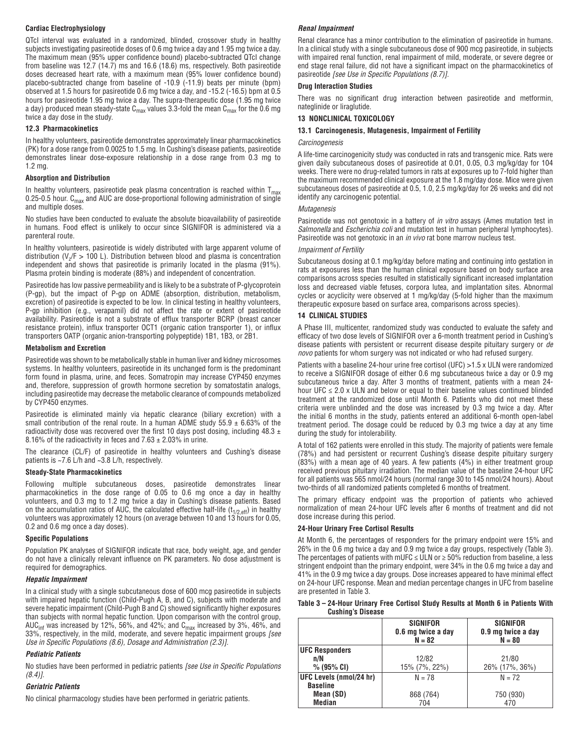## **Cardiac Electrophysiology**

QTcI interval was evaluated in a randomized, blinded, crossover study in healthy subjects investigating pasireotide doses of 0.6 mg twice a day and 1.95 mg twice a day. The maximum mean (95% upper confidence bound) placebo-subtracted QTcI change from baseline was 12.7 (14.7) ms and 16.6 (18.6) ms, respectively. Both pasireotide doses decreased heart rate, with a maximum mean (95% lower confidence bound) placebo-subtracted change from baseline of -10.9 (-11.9) beats per minute (bpm) observed at 1.5 hours for pasireotide 0.6 mg twice a day, and -15.2 (-16.5) bpm at 0.5 hours for pasireotide 1.95 mg twice a day. The supra-therapeutic dose (1.95 mg twice a day) produced mean steady-state  $C_{\text{max}}$  values 3.3-fold the mean  $C_{\text{max}}$  for the 0.6 mg twice a day dose in the study.

### **12.3 Pharmacokinetics**

In healthy volunteers, pasireotide demonstrates approximately linear pharmacokinetics (PK) for a dose range from 0.0025 to 1.5 mg. In Cushing's disease patients, pasireotide demonstrates linear dose-exposure relationship in a dose range from 0.3 mg to 1.2 mg.

### **Absorption and Distribution**

In healthy volunteers, pasireotide peak plasma concentration is reached within  $T_{max}$ 0.25-0.5 hour.  $C_{\text{max}}$  and AUC are dose-proportional following administration of single and multiple doses.

No studies have been conducted to evaluate the absolute bioavailability of pasireotide in humans. Food effect is unlikely to occur since SIGNIFOR is administered via a parenteral route.

In healthy volunteers, pasireotide is widely distributed with large apparent volume of distribution (V<sub> $\sqrt{F}$ </sub> > 100 L). Distribution between blood and plasma is concentration independent and shows that pasireotide is primarily located in the plasma (91%). Plasma protein binding is moderate (88%) and independent of concentration.

Pasireotide has low passive permeability and is likely to be a substrate of P-glycoprotein (P-gp), but the impact of P-gp on ADME (absorption, distribution, metabolism, excretion) of pasireotide is expected to be low. In clinical testing in healthy volunteers, P-gp inhibition (e.g., verapamil) did not affect the rate or extent of pasireotide availability. Pasireotide is not a substrate of efflux transporter BCRP (breast cancer resistance protein), influx transporter OCT1 (organic cation transporter 1), or influx transporters OATP (organic anion-transporting polypeptide) 1B1, 1B3, or 2B1.

#### **Metabolism and Excretion**

Pasireotide was shown to be metabolically stable in human liver and kidney microsomes systems. In healthy volunteers, pasireotide in its unchanged form is the predominant form found in plasma, urine, and feces. Somatropin may increase CYP450 enzymes and, therefore, suppression of growth hormone secretion by somatostatin analogs, including pasireotide may decrease the metabolic clearance of compounds metabolized by CYP450 enzymes.

Pasireotide is eliminated mainly via hepatic clearance (biliary excretion) with a small contribution of the renal route. In a human ADME study  $55.9 \pm 6.63\%$  of the radioactivity dose was recovered over the first 10 days post dosing, including 48.3  $\pm$ 8.16% of the radioactivity in feces and  $7.63 \pm 2.03$ % in urine.

The clearance (CL/F) of pasireotide in healthy volunteers and Cushing's disease patients is ~7.6 L/h and ~3.8 L/h, respectively.

### **Steady-State Pharmacokinetics**

Following multiple subcutaneous doses, pasireotide demonstrates linear pharmacokinetics in the dose range of 0.05 to 0.6 mg once a day in healthy volunteers, and 0.3 mg to 1.2 mg twice a day in Cushing's disease patients. Based on the accumulation ratios of AUC, the calculated effective half-life ( $t_{1/2,eff}$ ) in healthy volunteers was approximately 12 hours (on average between 10 and 13 hours for 0.05, 0.2 and 0.6 mg once a day doses).

#### **Specific Populations**

Population PK analyses of SIGNIFOR indicate that race, body weight, age, and gender do not have a clinically relevant influence on PK parameters. No dose adjustment is required for demographics.

#### *Hepatic Impairment*

In a clinical study with a single subcutaneous dose of 600 mcg pasireotide in subjects with impaired hepatic function (Child-Pugh A, B, and C), subjects with moderate and severe hepatic impairment (Child-Pugh B and C) showed significantly higher exposures than subjects with normal hepatic function. Upon comparison with the control group, AUC<sub>inf</sub> was increased by 12%, 56%, and 42%; and C<sub>max</sub> increased by 3%, 46%, and 33%, respectively, in the mild, moderate, and severe hepatic impairment groups *[see Use in Specific Populations (8.6), Dosage and Administration (2.3)].*

### *Pediatric Patients*

No studies have been performed in pediatric patients *[see Use in Specific Populations (8.4)].*

#### *Geriatric Patients*

No clinical pharmacology studies have been performed in geriatric patients.

## *Renal Impairment*

Renal clearance has a minor contribution to the elimination of pasireotide in humans. In a clinical study with a single subcutaneous dose of 900 mcg pasireotide, in subjects with impaired renal function, renal impairment of mild, moderate, or severe degree or end stage renal failure, did not have a significant impact on the pharmacokinetics of pasireotide *[see Use in Specific Populations (8.7)].*

### **Drug Interaction Studies**

There was no significant drug interaction between pasireotide and metformin, nateglinide or liraglutide.

### **13 NONCLINICAL TOXICOLOGY**

#### **13.1 Carcinogenesis, Mutagenesis, Impairment of Fertility**

#### *Carcinogenesis*

A life-time carcinogenicity study was conducted in rats and transgenic mice. Rats were given daily subcutaneous doses of pasireotide at 0.01, 0.05, 0.3 mg/kg/day for 104 weeks. There were no drug-related tumors in rats at exposures up to 7-fold higher than the maximum recommended clinical exposure at the 1.8 mg/day dose. Mice were given subcutaneous doses of pasireotide at 0.5, 1.0, 2.5 mg/kg/day for 26 weeks and did not identify any carcinogenic potential.

#### *Mutagenesis*

Pasireotide was not genotoxic in a battery of *in vitro* assays (Ames mutation test in *Salmonella* and *Escherichia coli* and mutation test in human peripheral lymphocytes). Pasireotide was not genotoxic in an *in vivo* rat bone marrow nucleus test.

#### *Impairment of Fertility*

Subcutaneous dosing at 0.1 mg/kg/day before mating and continuing into gestation in rats at exposures less than the human clinical exposure based on body surface area comparisons across species resulted in statistically significant increased implantation loss and decreased viable fetuses, corpora lutea, and implantation sites. Abnormal cycles or acyclicity were observed at 1 mg/kg/day (5-fold higher than the maximum therapeutic exposure based on surface area, comparisons across species).

## **14 CLINICAL STUDIES**

A Phase III, multicenter, randomized study was conducted to evaluate the safety and efficacy of two dose levels of SIGNIFOR over a 6-month treatment period in Cushing's disease patients with persistent or recurrent disease despite pituitary surgery or *de novo* patients for whom surgery was not indicated or who had refused surgery.

Patients with a baseline 24-hour urine free cortisol (UFC) >1.5 x ULN were randomized to receive a SIGNIFOR dosage of either 0.6 mg subcutaneous twice a day or 0.9 mg subcutaneous twice a day. After 3 months of treatment, patients with a mean 24 hour UFC  $\leq$  2.0 x ULN and below or equal to their baseline values continued blinded treatment at the randomized dose until Month 6. Patients who did not meet these criteria were unblinded and the dose was increased by 0.3 mg twice a day. After the initial 6 months in the study, patients entered an additional 6-month open-label treatment period. The dosage could be reduced by 0.3 mg twice a day at any time during the study for intolerability.

A total of 162 patients were enrolled in this study. The majority of patients were female (78%) and had persistent or recurrent Cushing's disease despite pituitary surgery (83%) with a mean age of 40 years. A few patients (4%) in either treatment group received previous pituitary irradiation. The median value of the baseline 24-hour UFC for all patients was 565 nmol/24 hours (normal range 30 to 145 nmol/24 hours). About two-thirds of all randomized patients completed 6 months of treatment.

The primary efficacy endpoint was the proportion of patients who achieved normalization of mean 24-hour UFC levels after 6 months of treatment and did not dose increase during this period.

#### **24-Hour Urinary Free Cortisol Results**

At Month 6, the percentages of responders for the primary endpoint were 15% and 26% in the 0.6 mg twice a day and 0.9 mg twice a day groups, respectively (Table 3). The percentages of patients with mUFC  $\leq$  ULN or  $\geq$  50% reduction from baseline, a less stringent endpoint than the primary endpoint, were 34% in the 0.6 mg twice a day and 41% in the 0.9 mg twice a day groups. Dose increases appeared to have minimal effect on 24-hour UFC response. Mean and median percentage changes in UFC from baseline are presented in Table 3.

| Table 3 – 24-Hour Urinary Free Cortisol Study Results at Month 6 in Patients With |  |  |  |
|-----------------------------------------------------------------------------------|--|--|--|
| <b>Cushing's Disease</b>                                                          |  |  |  |

|                         | <b>SIGNIFOR</b><br>0.6 mg twice a day<br>$N = 82$ | <b>SIGNIFOR</b><br>0.9 mg twice a day<br>$N = 80$ |
|-------------------------|---------------------------------------------------|---------------------------------------------------|
| <b>UFC Responders</b>   |                                                   |                                                   |
| n/N                     | 12/82                                             | 21/80                                             |
| $% (95\% CI)$           | 15% (7%, 22%)                                     | 26% (17%, 36%)                                    |
| UFC Levels (nmol/24 hr) | $N = 78$                                          | $N = 72$                                          |
| <b>Baseline</b>         |                                                   |                                                   |
| Mean (SD)               | 868 (764)                                         | 750 (930)                                         |
| <b>Median</b>           | 704                                               | 470                                               |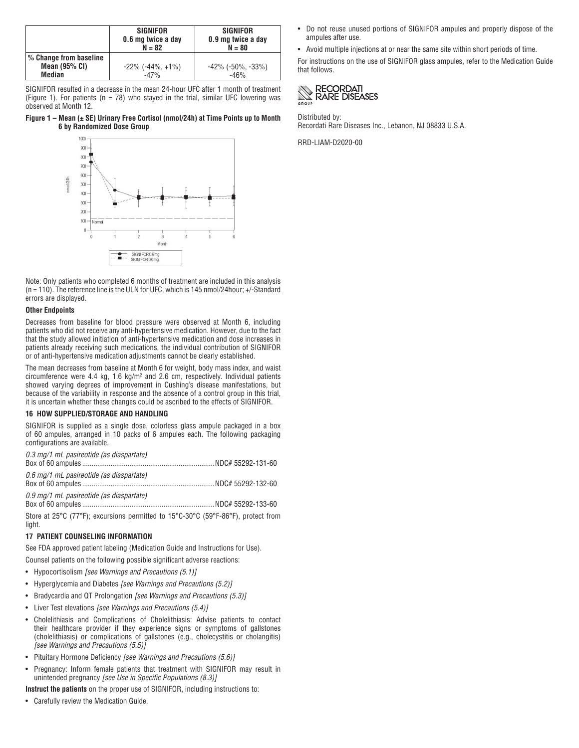|                                                     | <b>SIGNIFOR</b><br>0.6 mg twice a day<br>$N = 82$ | <b>SIGNIFOR</b><br>0.9 mg twice a day<br>$N = 80$ |
|-----------------------------------------------------|---------------------------------------------------|---------------------------------------------------|
| % Change from baseline<br>Mean $(95%$ CI)<br>Median | $-22\%$ ( $-44\%$ , $+1\%$ )<br>$-47%$            | $-42\%$ ( $-50\%$ , $-33\%$ )<br>$-46%$           |

SIGNIFOR resulted in a decrease in the mean 24-hour UFC after 1 month of treatment (Figure 1). For patients ( $n = 78$ ) who stayed in the trial, similar UFC lowering was observed at Month 12.

### **Figure 1 – Mean (± SE) Urinary Free Cortisol (nmol/24h) at Time Points up to Month 6 by Randomized Dose Group**



Note: Only patients who completed 6 months of treatment are included in this analysis (n = 110). The reference line is the ULN for UFC, which is 145 nmol/24hour; +/-Standard errors are displayed.

#### **Other Endpoints**

Decreases from baseline for blood pressure were observed at Month 6, including patients who did not receive any anti-hypertensive medication. However, due to the fact that the study allowed initiation of anti-hypertensive medication and dose increases in patients already receiving such medications, the individual contribution of SIGNIFOR or of anti-hypertensive medication adjustments cannot be clearly established.

The mean decreases from baseline at Month 6 for weight, body mass index, and waist circumference were 4.4 kg, 1.6 kg/m2 and 2.6 cm, respectively. Individual patients showed varying degrees of improvement in Cushing's disease manifestations, but because of the variability in response and the absence of a control group in this trial, it is uncertain whether these changes could be ascribed to the effects of SIGNIFOR.

#### **16 HOW SUPPLIED/STORAGE AND HANDLING**

SIGNIFOR is supplied as a single dose, colorless glass ampule packaged in a box of 60 ampules, arranged in 10 packs of 6 ampules each. The following packaging configurations are available.

| 0.3 mg/1 mL pasireotide (as diaspartate) |  |
|------------------------------------------|--|
|                                          |  |
| 0.6 mg/1 mL pasireotide (as diaspartate) |  |
| 0.9 mg/1 mL pasireotide (as diaspartate) |  |

Store at 25°C (77°F); excursions permitted to 15°C-30°C (59°F-86°F), protect from light.

## **17 PATIENT COUNSELING INFORMATION**

See FDA approved patient labeling (Medication Guide and Instructions for Use).

Counsel patients on the following possible significant adverse reactions:

- Hypocortisolism *[see Warnings and Precautions (5.1)]*
- Hyperglycemia and Diabetes *[see Warnings and Precautions (5.2)]*
- Bradycardia and QT Prolongation *[see Warnings and Precautions (5.3)]*
- Liver Test elevations *[see Warnings and Precautions (5.4)]*
- Cholelithiasis and Complications of Cholelithiasis: Advise patients to contact their healthcare provider if they experience signs or symptoms of gallstones (cholelithiasis) or complications of gallstones (e.g., cholecystitis or cholangitis) *[see Warnings and Precautions (5.5)]*
- Pituitary Hormone Deficiency *[see Warnings and Precautions (5.6)]*
- Pregnancy: Inform female patients that treatment with SIGNIFOR may result in unintended pregnancy *[see Use in Specific Populations (8.3)]*

**Instruct the patients** on the proper use of SIGNIFOR, including instructions to:

• Carefully review the Medication Guide.

- Do not reuse unused portions of SIGNIFOR ampules and properly dispose of the ampules after use.
- Avoid multiple injections at or near the same site within short periods of time.

For instructions on the use of SIGNIFOR glass ampules, refer to the Medication Guide that follows.



Distributed by: Recordati Rare Diseases Inc., Lebanon, NJ 08833 U.S.A.

RRD-LIAM-D2020-00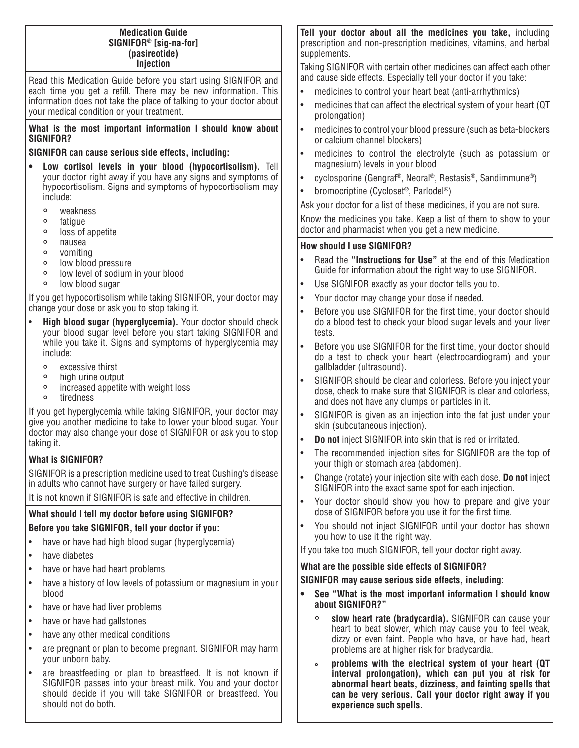# **Medication Guide SIGNIFOR® [sig-na-for] (pasireotide) Injection**

Read this Medication Guide before you start using SIGNIFOR and each time you get a refill. There may be new information. This information does not take the place of talking to your doctor about your medical condition or your treatment.

# **What is the most important information I should know about SIGNIFOR?**

# **SIGNIFOR can cause serious side effects, including:**

- **Low cortisol levels in your blood (hypocortisolism).** Tell your doctor right away if you have any signs and symptoms of hypocortisolism. Signs and symptoms of hypocortisolism may include:
	- o weakness<br>o fatique
	- ° fatigue
	- ° loss of appetite
	- ° nausea
	- ° vomiting
	- ° low blood pressure<br>• low level of sodium
	- low level of sodium in your blood<br>• low blood sugar
	- low blood sugar

If you get hypocortisolism while taking SIGNIFOR, your doctor may change your dose or ask you to stop taking it.

- **High blood sugar (hyperglycemia).** Your doctor should check your blood sugar level before you start taking SIGNIFOR and while you take it. Signs and symptoms of hyperglycemia may include:
	- excessive thirst<br>• high urine outpu
	- ° high urine output
	- increased appetite with weight loss<br>• tiredness
	- tiredness

If you get hyperglycemia while taking SIGNIFOR, your doctor may give you another medicine to take to lower your blood sugar. Your doctor may also change your dose of SIGNIFOR or ask you to stop taking it.

# **What is SIGNIFOR?**

SIGNIFOR is a prescription medicine used to treat Cushing's disease in adults who cannot have surgery or have failed surgery.

It is not known if SIGNIFOR is safe and effective in children.

# **What should I tell my doctor before using SIGNIFOR? Before you take SIGNIFOR, tell your doctor if you:**

- have or have had high blood sugar (hyperglycemia)
- have diabetes
- have or have had heart problems
- have a history of low levels of potassium or magnesium in your blood
- have or have had liver problems
- have or have had gallstones
- have any other medical conditions
- are pregnant or plan to become pregnant. SIGNIFOR may harm your unborn baby.
- are breastfeeding or plan to breastfeed. It is not known if SIGNIFOR passes into your breast milk. You and your doctor should decide if you will take SIGNIFOR or breastfeed. You should not do both.

**Tell your doctor about all the medicines you take,** including prescription and non-prescription medicines, vitamins, and herbal supplements.

Taking SIGNIFOR with certain other medicines can affect each other and cause side effects. Especially tell your doctor if you take:

- medicines to control your heart beat (anti-arrhythmics)
- medicines that can affect the electrical system of your heart (QT prolongation)
- medicines to control your blood pressure (such as beta-blockers or calcium channel blockers)
- medicines to control the electrolyte (such as potassium or magnesium) levels in your blood
- cyclosporine (Gengraf®, Neoral®, Restasis®, Sandimmune®)
- bromocriptine (Cycloset<sup>®</sup>, Parlodel<sup>®</sup>)

Ask your doctor for a list of these medicines, if you are not sure. Know the medicines you take. Keep a list of them to show to your doctor and pharmacist when you get a new medicine.

# **How should I use SIGNIFOR?**

- Read the **"Instructions for Use"** at the end of this Medication Guide for information about the right way to use SIGNIFOR.
- Use SIGNIFOR exactly as your doctor tells you to.
- Your doctor may change your dose if needed.
- Before you use SIGNIFOR for the first time, your doctor should do a blood test to check your blood sugar levels and your liver tests.
- Before you use SIGNIFOR for the first time, your doctor should do a test to check your heart (electrocardiogram) and your gallbladder (ultrasound).
- SIGNIFOR should be clear and colorless. Before you inject your dose, check to make sure that SIGNIFOR is clear and colorless, and does not have any clumps or particles in it.
- SIGNIFOR is given as an injection into the fat just under your skin (subcutaneous injection).
- **Do not** inject SIGNIFOR into skin that is red or irritated.
- The recommended injection sites for SIGNIFOR are the top of your thigh or stomach area (abdomen).
- Change (rotate) your injection site with each dose. **Do not** inject SIGNIFOR into the exact same spot for each injection.
- Your doctor should show you how to prepare and give your dose of SIGNIFOR before you use it for the first time.
- You should not inject SIGNIFOR until your doctor has shown you how to use it the right way.

If you take too much SIGNIFOR, tell your doctor right away.

# **What are the possible side effects of SIGNIFOR?**

# **SIGNIFOR may cause serious side effects, including:**

- **See "What is the most important information I should know about SIGNIFOR?"**
	- ° **slow heart rate (bradycardia).** SIGNIFOR can cause your heart to beat slower, which may cause you to feel weak, dizzy or even faint. People who have, or have had, heart problems are at higher risk for bradycardia.
	- **° problems with the electrical system of your heart (QT interval prolongation), which can put you at risk for abnormal heart beats, dizziness, and fainting spells that can be very serious. Call your doctor right away if you experience such spells.**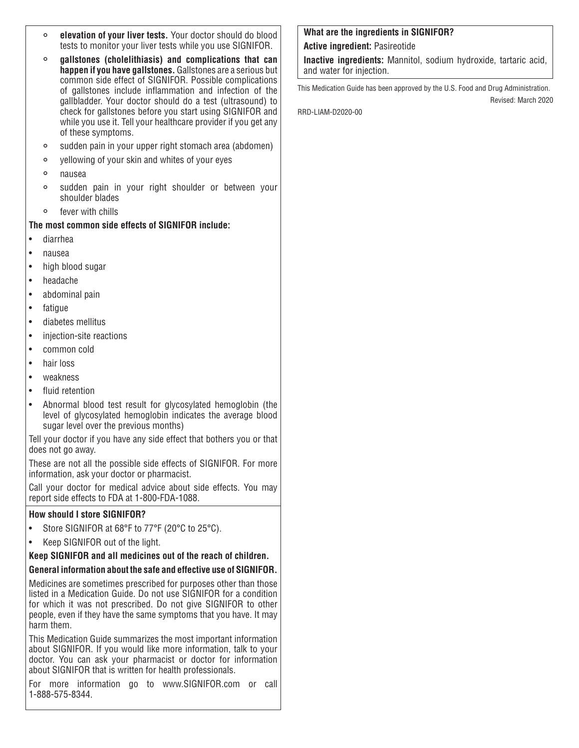- ° **elevation of your liver tests.** Your doctor should do blood tests to monitor your liver tests while you use SIGNIFOR.
- ° **gallstones (cholelithiasis) and complications that can happen if you have gallstones.** Gallstones are a serious but common side effect of SIGNIFOR. Possible complications of gallstones include inflammation and infection of the gallbladder. Your doctor should do a test (ultrasound) to check for gallstones before you start using SIGNIFOR and while you use it. Tell your healthcare provider if you get any of these symptoms.
- sudden pain in your upper right stomach area (abdomen)<br>• vellowing of your skin and whites of your eves
- yellowing of your skin and whites of your eyes<br>• nausea
- ° nausea
- sudden pain in your right shoulder or between your shoulder blades
- ° fever with chills

# **The most common side effects of SIGNIFOR include:**

- diarrhea
- nausea
- high blood sugar
- headache
- abdominal pain
- fatique
- diabetes mellitus
- injection-site reactions
- common cold
- hair loss
- weakness
- fluid retention
- Abnormal blood test result for glycosylated hemoglobin (the level of glycosylated hemoglobin indicates the average blood sugar level over the previous months)

Tell your doctor if you have any side effect that bothers you or that does not go away.

These are not all the possible side effects of SIGNIFOR. For more information, ask your doctor or pharmacist.

Call your doctor for medical advice about side effects. You may report side effects to FDA at 1-800-FDA-1088.

# **How should I store SIGNIFOR?**

- Store SIGNIFOR at 68°F to 77°F (20°C to 25°C).
- Keep SIGNIFOR out of the light.

# **Keep SIGNIFOR and all medicines out of the reach of children.**

# **General information about the safe and effective use of SIGNIFOR.**

Medicines are sometimes prescribed for purposes other than those listed in a Medication Guide. Do not use SIGNIFOR for a condition for which it was not prescribed. Do not give SIGNIFOR to other people, even if they have the same symptoms that you have. It may harm them.

This Medication Guide summarizes the most important information about SIGNIFOR. If you would like more information, talk to your doctor. You can ask your pharmacist or doctor for information about SIGNIFOR that is written for health professionals.

For more information go to www.SIGNIFOR.com or call 1-888-575-8344.

# **What are the ingredients in SIGNIFOR?**

**Active ingredient:** Pasireotide

**Inactive ingredients:** Mannitol, sodium hydroxide, tartaric acid, and water for injection.

This Medication Guide has been approved by the U.S. Food and Drug Administration. Revised: March 2020

RRD-LIAM-D2020-00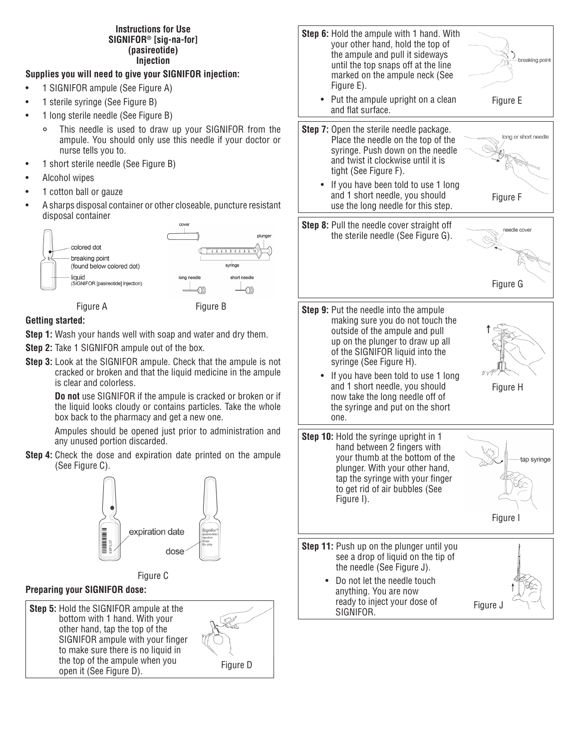# **Instructions for Use SIGNIFOR® [sig-na-for] (pasireotide) Injection**

# **Supplies you will need to give your SIGNIFOR injection:**

- 1 SIGNIFOR ampule (See Figure A)
- 1 sterile syringe (See Figure B)
- 1 long sterile needle (See Figure B)
	- This needle is used to draw up your SIGNIFOR from the ampule. You should only use this needle if your doctor or nurse tells you to.
- 1 short sterile needle (See Figure B)
- Alcohol wipes
- 1 cotton ball or gauze
- A sharps disposal container or other closeable, puncture resistant disposal container







# **Getting started:**

- **Step 1:** Wash your hands well with soap and water and dry them.
- **Step 2:** Take 1 SIGNIFOR ampule out of the box.
- **Step 3:** Look at the SIGNIFOR ampule. Check that the ampule is not cracked or broken and that the liquid medicine in the ampule is clear and colorless.

 **Do not** use SIGNIFOR if the ampule is cracked or broken or if the liquid looks cloudy or contains particles. Take the whole box back to the pharmacy and get a new one.

 Ampules should be opened just prior to administration and any unused portion discarded.

**Step 4:** Check the dose and expiration date printed on the ampule (See Figure C).



# Figure C

# **Preparing your SIGNIFOR dose:**

**Step 5:** Hold the SIGNIFOR ampule at the bottom with 1 hand. With your other hand, tap the top of the SIGNIFOR ampule with your finger to make sure there is no liquid in the top of the ampule when you open it (See Figure D).